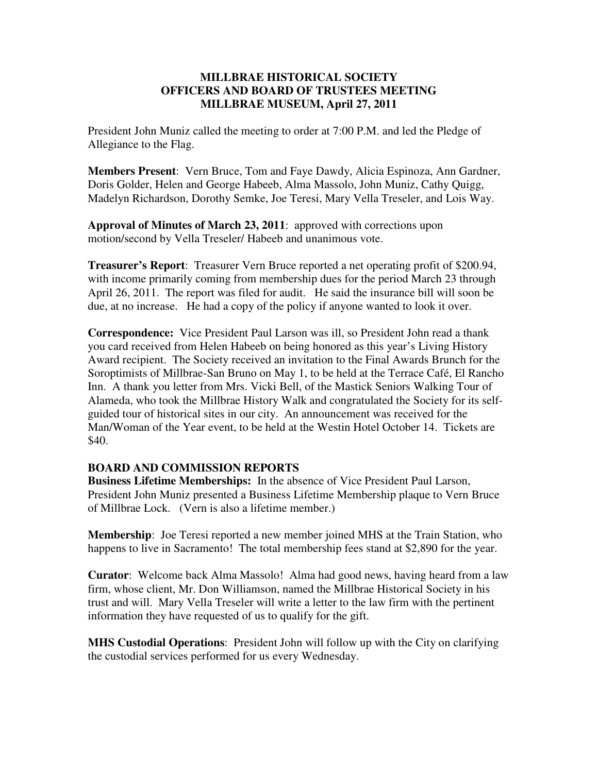## **MILLBRAE HISTORICAL SOCIETY OFFICERS AND BOARD OF TRUSTEES MEETING MILLBRAE MUSEUM, April 27, 2011**

President John Muniz called the meeting to order at 7:00 P.M. and led the Pledge of Allegiance to the Flag.

**Members Present**: Vern Bruce, Tom and Faye Dawdy, Alicia Espinoza, Ann Gardner, Doris Golder, Helen and George Habeeb, Alma Massolo, John Muniz, Cathy Quigg, Madelyn Richardson, Dorothy Semke, Joe Teresi, Mary Vella Treseler, and Lois Way.

**Approval of Minutes of March 23, 2011**: approved with corrections upon motion/second by Vella Treseler/ Habeeb and unanimous vote.

**Treasurer's Report**: Treasurer Vern Bruce reported a net operating profit of \$200.94, with income primarily coming from membership dues for the period March 23 through April 26, 2011. The report was filed for audit. He said the insurance bill will soon be due, at no increase. He had a copy of the policy if anyone wanted to look it over.

**Correspondence:** Vice President Paul Larson was ill, so President John read a thank you card received from Helen Habeeb on being honored as this year's Living History Award recipient. The Society received an invitation to the Final Awards Brunch for the Soroptimists of Millbrae-San Bruno on May 1, to be held at the Terrace Café, El Rancho Inn. A thank you letter from Mrs. Vicki Bell, of the Mastick Seniors Walking Tour of Alameda, who took the Millbrae History Walk and congratulated the Society for its selfguided tour of historical sites in our city. An announcement was received for the Man/Woman of the Year event, to be held at the Westin Hotel October 14. Tickets are \$40.

## **BOARD AND COMMISSION REPORTS**

**Business Lifetime Memberships:** In the absence of Vice President Paul Larson, President John Muniz presented a Business Lifetime Membership plaque to Vern Bruce of Millbrae Lock. (Vern is also a lifetime member.)

**Membership**: Joe Teresi reported a new member joined MHS at the Train Station, who happens to live in Sacramento! The total membership fees stand at \$2,890 for the year.

**Curator**: Welcome back Alma Massolo! Alma had good news, having heard from a law firm, whose client, Mr. Don Williamson, named the Millbrae Historical Society in his trust and will. Mary Vella Treseler will write a letter to the law firm with the pertinent information they have requested of us to qualify for the gift.

**MHS Custodial Operations**: President John will follow up with the City on clarifying the custodial services performed for us every Wednesday.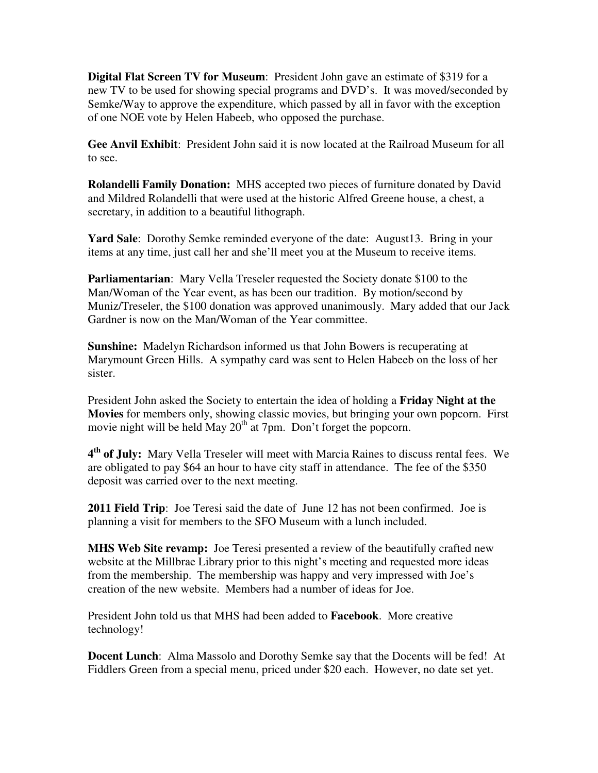**Digital Flat Screen TV for Museum**: President John gave an estimate of \$319 for a new TV to be used for showing special programs and DVD's. It was moved/seconded by Semke/Way to approve the expenditure, which passed by all in favor with the exception of one NOE vote by Helen Habeeb, who opposed the purchase.

**Gee Anvil Exhibit**: President John said it is now located at the Railroad Museum for all to see.

**Rolandelli Family Donation:** MHS accepted two pieces of furniture donated by David and Mildred Rolandelli that were used at the historic Alfred Greene house, a chest, a secretary, in addition to a beautiful lithograph.

**Yard Sale**: Dorothy Semke reminded everyone of the date: August 13. Bring in your items at any time, just call her and she'll meet you at the Museum to receive items.

**Parliamentarian**: Mary Vella Treseler requested the Society donate \$100 to the Man/Woman of the Year event, as has been our tradition. By motion/second by Muniz/Treseler, the \$100 donation was approved unanimously. Mary added that our Jack Gardner is now on the Man/Woman of the Year committee.

**Sunshine:** Madelyn Richardson informed us that John Bowers is recuperating at Marymount Green Hills. A sympathy card was sent to Helen Habeeb on the loss of her sister.

President John asked the Society to entertain the idea of holding a **Friday Night at the Movies** for members only, showing classic movies, but bringing your own popcorn. First movie night will be held May  $20^{th}$  at 7pm. Don't forget the popcorn.

**4 th of July:** Mary Vella Treseler will meet with Marcia Raines to discuss rental fees. We are obligated to pay \$64 an hour to have city staff in attendance. The fee of the \$350 deposit was carried over to the next meeting.

**2011 Field Trip**: Joe Teresi said the date of June 12 has not been confirmed. Joe is planning a visit for members to the SFO Museum with a lunch included.

**MHS Web Site revamp:** Joe Teresi presented a review of the beautifully crafted new website at the Millbrae Library prior to this night's meeting and requested more ideas from the membership. The membership was happy and very impressed with Joe's creation of the new website. Members had a number of ideas for Joe.

President John told us that MHS had been added to **Facebook**. More creative technology!

**Docent Lunch**: Alma Massolo and Dorothy Semke say that the Docents will be fed! At Fiddlers Green from a special menu, priced under \$20 each. However, no date set yet.